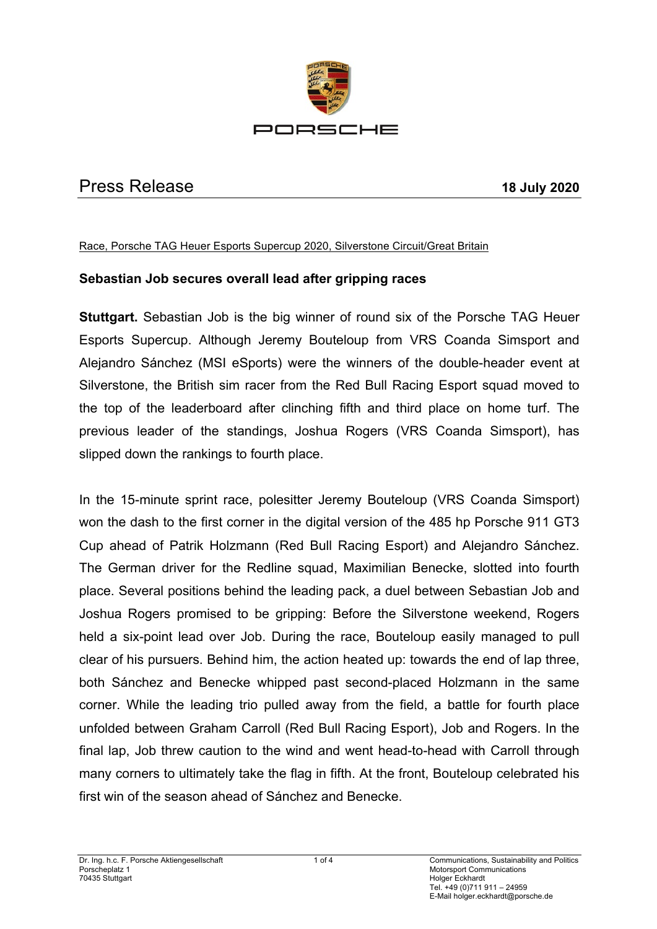

# Press Release **18 July 2020**

#### Race, Porsche TAG Heuer Esports Supercup 2020, Silverstone Circuit/Great Britain

### **Sebastian Job secures overall lead after gripping races**

**Stuttgart.** Sebastian Job is the big winner of round six of the Porsche TAG Heuer Esports Supercup. Although Jeremy Bouteloup from VRS Coanda Simsport and Alejandro Sánchez (MSI eSports) were the winners of the double-header event at Silverstone, the British sim racer from the Red Bull Racing Esport squad moved to the top of the leaderboard after clinching fifth and third place on home turf. The previous leader of the standings, Joshua Rogers (VRS Coanda Simsport), has slipped down the rankings to fourth place.

In the 15-minute sprint race, polesitter Jeremy Bouteloup (VRS Coanda Simsport) won the dash to the first corner in the digital version of the 485 hp Porsche 911 GT3 Cup ahead of Patrik Holzmann (Red Bull Racing Esport) and Alejandro Sánchez. The German driver for the Redline squad, Maximilian Benecke, slotted into fourth place. Several positions behind the leading pack, a duel between Sebastian Job and Joshua Rogers promised to be gripping: Before the Silverstone weekend, Rogers held a six-point lead over Job. During the race, Bouteloup easily managed to pull clear of his pursuers. Behind him, the action heated up: towards the end of lap three, both Sánchez and Benecke whipped past second-placed Holzmann in the same corner. While the leading trio pulled away from the field, a battle for fourth place unfolded between Graham Carroll (Red Bull Racing Esport), Job and Rogers. In the final lap, Job threw caution to the wind and went head-to-head with Carroll through many corners to ultimately take the flag in fifth. At the front, Bouteloup celebrated his first win of the season ahead of Sánchez and Benecke.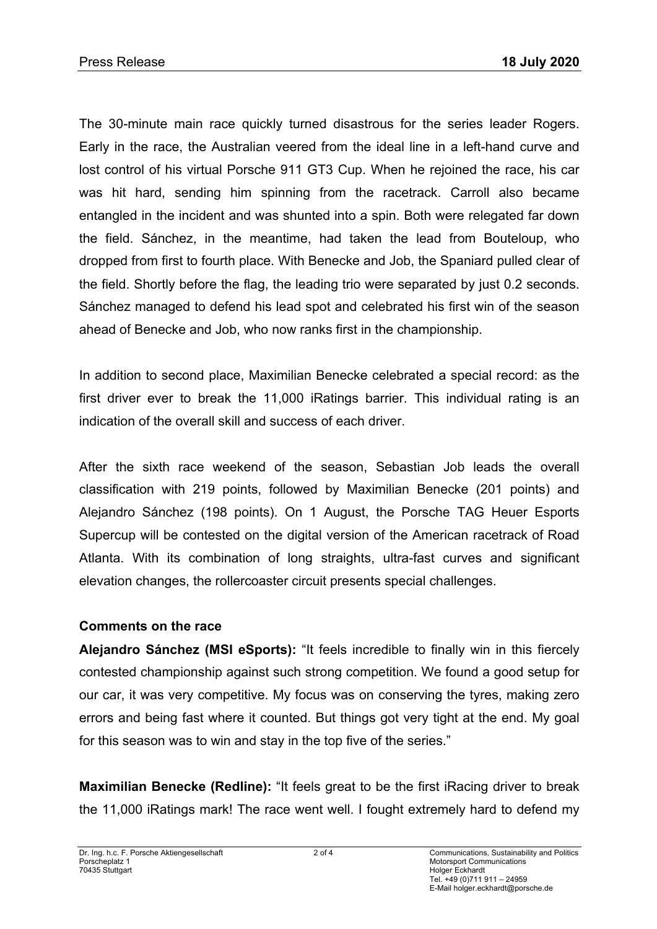The 30-minute main race quickly turned disastrous for the series leader Rogers. Early in the race, the Australian veered from the ideal line in a left-hand curve and lost control of his virtual Porsche 911 GT3 Cup. When he rejoined the race, his car was hit hard, sending him spinning from the racetrack. Carroll also became entangled in the incident and was shunted into a spin. Both were relegated far down the field. Sánchez, in the meantime, had taken the lead from Bouteloup, who dropped from first to fourth place. With Benecke and Job, the Spaniard pulled clear of the field. Shortly before the flag, the leading trio were separated by just 0.2 seconds. Sánchez managed to defend his lead spot and celebrated his first win of the season ahead of Benecke and Job, who now ranks first in the championship.

In addition to second place, Maximilian Benecke celebrated a special record: as the first driver ever to break the 11,000 iRatings barrier. This individual rating is an indication of the overall skill and success of each driver.

After the sixth race weekend of the season, Sebastian Job leads the overall classification with 219 points, followed by Maximilian Benecke (201 points) and Alejandro Sánchez (198 points). On 1 August, the Porsche TAG Heuer Esports Supercup will be contested on the digital version of the American racetrack of Road Atlanta. With its combination of long straights, ultra-fast curves and significant elevation changes, the rollercoaster circuit presents special challenges.

### **Comments on the race**

**Alejandro Sánchez (MSI eSports):** "It feels incredible to finally win in this fiercely contested championship against such strong competition. We found a good setup for our car, it was very competitive. My focus was on conserving the tyres, making zero errors and being fast where it counted. But things got very tight at the end. My goal for this season was to win and stay in the top five of the series."

**Maximilian Benecke (Redline):** "It feels great to be the first iRacing driver to break the 11,000 iRatings mark! The race went well. I fought extremely hard to defend my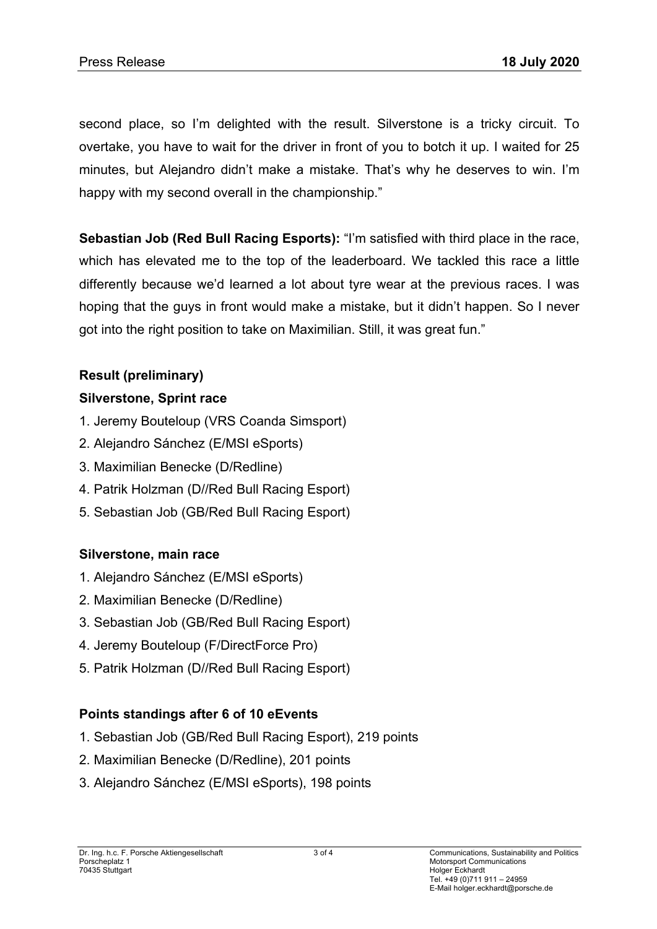second place, so I'm delighted with the result. Silverstone is a tricky circuit. To overtake, you have to wait for the driver in front of you to botch it up. I waited for 25 minutes, but Alejandro didn't make a mistake. That's why he deserves to win. I'm happy with my second overall in the championship."

**Sebastian Job (Red Bull Racing Esports):** "I'm satisfied with third place in the race, which has elevated me to the top of the leaderboard. We tackled this race a little differently because we'd learned a lot about tyre wear at the previous races. I was hoping that the guys in front would make a mistake, but it didn't happen. So I never got into the right position to take on Maximilian. Still, it was great fun."

# **Result (preliminary)**

## **Silverstone, Sprint race**

- 1. Jeremy Bouteloup (VRS Coanda Simsport)
- 2. Alejandro Sánchez (E/MSI eSports)
- 3. Maximilian Benecke (D/Redline)
- 4. Patrik Holzman (D//Red Bull Racing Esport)
- 5. Sebastian Job (GB/Red Bull Racing Esport)

## **Silverstone, main race**

- 1. Alejandro Sánchez (E/MSI eSports)
- 2. Maximilian Benecke (D/Redline)
- 3. Sebastian Job (GB/Red Bull Racing Esport)
- 4. Jeremy Bouteloup (F/DirectForce Pro)
- 5. Patrik Holzman (D//Red Bull Racing Esport)

### **Points standings after 6 of 10 eEvents**

- 1. Sebastian Job (GB/Red Bull Racing Esport), 219 points
- 2. Maximilian Benecke (D/Redline), 201 points
- 3. Alejandro Sánchez (E/MSI eSports), 198 points